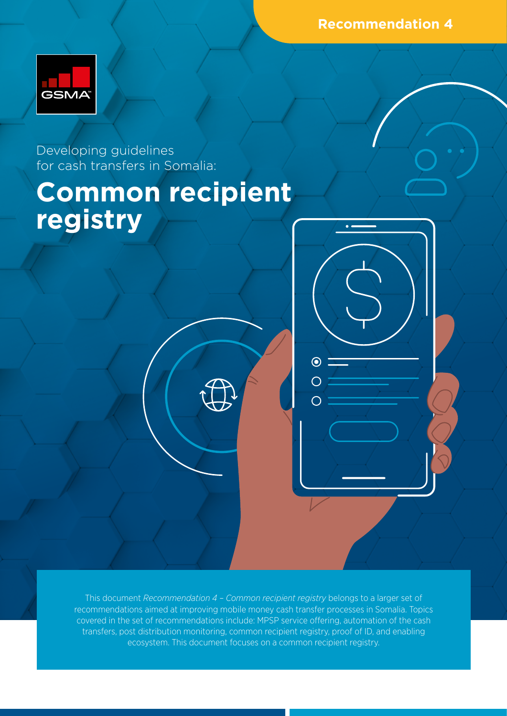**Recommendation 4**



Developing guidelines for cash transfers in Somalia:

# **Common recipient registry**

This document *Recommendation 4 – Common recipient registry* belongs to a larger set of recommendations aimed at improving mobile money cash transfer processes in Somalia. Topics covered in the set of recommendations include: MPSP service offering, automation of the cash transfers, post distribution monitoring, common recipient registry, proof of ID, and enabling ecosystem. This document focuses on a common recipient registry.

 $\odot$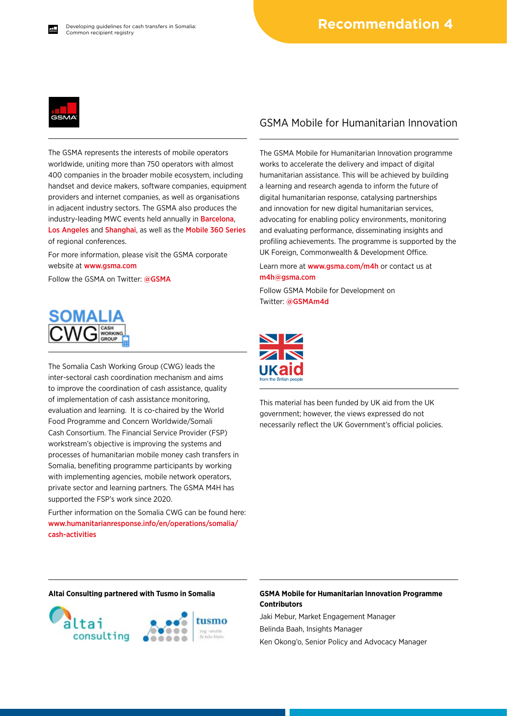

The GSMA represents the interests of mobile operators worldwide, uniting more than 750 operators with almost 400 companies in the broader mobile ecosystem, including handset and device makers, software companies, equipment providers and internet companies, as well as organisations in adjacent industry sectors. The GSMA also produces the industry-leading MWC events held annually in [Barcelona](https://www.mwcbarcelona.com), [Los Angeles](https://www.mwclosangeles.com/home1/) and [Shanghai](https://www.mwcshanghai.com), as well as the [Mobile 360 Series](https://www.mobile360series.com) of regional conferences.

For more information, please visit the GSMA corporate website at [www.gsma.com](https://www.gsma.com)

Follow the GSMA on Twitter: [@GSMA](https://twitter.com/gsma)



The Somalia Cash Working Group (CWG) leads the inter-sectoral cash coordination mechanism and aims to improve the coordination of cash assistance, quality of implementation of cash assistance monitoring, evaluation and learning. It is co-chaired by the World Food Programme and Concern Worldwide/Somali Cash Consortium. The Financial Service Provider (FSP) workstream's objective is improving the systems and processes of humanitarian mobile money cash transfers in Somalia, benefiting programme participants by working with implementing agencies, mobile network operators, private sector and learning partners. The GSMA M4H has supported the FSP's work since 2020.

Further information on the Somalia CWG can be found here: [www.humanitarianresponse.info/en/operations/somalia/](https://www.humanitarianresponse.info/en/operations/somalia/cash-activities) [cash-activities](https://www.humanitarianresponse.info/en/operations/somalia/cash-activities)

### GSMA Mobile for Humanitarian Innovation

The GSMA Mobile for Humanitarian Innovation programme works to accelerate the delivery and impact of digital humanitarian assistance. This will be achieved by building a learning and research agenda to inform the future of digital humanitarian response, catalysing partnerships and innovation for new digital humanitarian services, advocating for enabling policy environments, monitoring and evaluating performance, disseminating insights and profiling achievements. The programme is supported by the UK Foreign, Commonwealth & Development Office.

Learn more at [www.gsma.com/m4h](https://www.gsma.com/mobilefordevelopment/mobile-for-humanitarian-innovation/) or contact us at [m4h@gsma.com](mailto:m4h%40gsma.com?subject=) 

Follow GSMA Mobile for Development on Twitter: [@GSMAm4d](https://twitter.com/GSMAm4d)



This material has been funded by UK aid from the UK government; however, the views expressed do not necessarily reflect the UK Government's official policies.



#### **Altai Consulting partnered with Tusmo in Somalia GSMA Mobile for Humanitarian Innovation Programme Contributors**

Jaki Mebur, Market Engagement Manager Belinda Baah, Insights Manager Ken Okong'o, Senior Policy and Advocacy Manager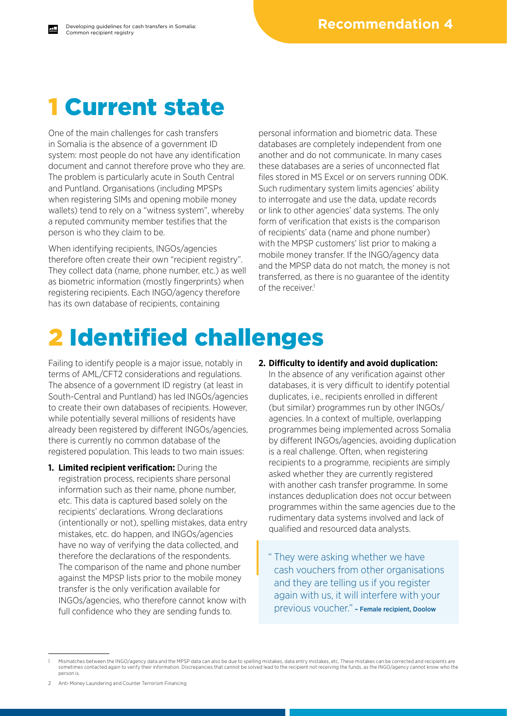### 1 Current state

One of the main challenges for cash transfers in Somalia is the absence of a government ID system: most people do not have any identification document and cannot therefore prove who they are. The problem is particularly acute in South Central and Puntland. Organisations (including MPSPs when registering SIMs and opening mobile money wallets) tend to rely on a "witness system", whereby a reputed community member testifies that the person is who they claim to be.

When identifying recipients, INGOs/agencies therefore often create their own "recipient registry". They collect data (name, phone number, etc.) as well as biometric information (mostly fingerprints) when registering recipients. Each INGO/agency therefore has its own database of recipients, containing

personal information and biometric data. These databases are completely independent from one another and do not communicate. In many cases these databases are a series of unconnected flat files stored in MS Excel or on servers running ODK. Such rudimentary system limits agencies' ability to interrogate and use the data, update records or link to other agencies' data systems. The only form of verification that exists is the comparison of recipients' data (name and phone number) with the MPSP customers' list prior to making a mobile money transfer. If the INGO/agency data and the MPSP data do not match, the money is not transferred, as there is no guarantee of the identity of the receiver.<sup>1</sup>

# 2 Identified challenges

Failing to identify people is a major issue, notably in terms of AML/CFT2 considerations and regulations. The absence of a government ID registry (at least in South-Central and Puntland) has led INGOs/agencies to create their own databases of recipients. However, while potentially several millions of residents have already been registered by different INGOs/agencies, there is currently no common database of the registered population. This leads to two main issues:

- **1. Limited recipient verification:** During the registration process, recipients share personal information such as their name, phone number, etc. This data is captured based solely on the recipients' declarations. Wrong declarations (intentionally or not), spelling mistakes, data entry mistakes, etc. do happen, and INGOs/agencies have no way of verifying the data collected, and therefore the declarations of the respondents. The comparison of the name and phone number against the MPSP lists prior to the mobile money transfer is the only verification available for INGOs/agencies, who therefore cannot know with full confidence who they are sending funds to.
- **2. Difficulty to identify and avoid duplication:** In the absence of any verification against other databases, it is very difficult to identify potential duplicates, i.e., recipients enrolled in different (but similar) programmes run by other INGOs/ agencies. In a context of multiple, overlapping programmes being implemented across Somalia by different INGOs/agencies, avoiding duplication is a real challenge. Often, when registering recipients to a programme, recipients are simply asked whether they are currently registered with another cash transfer programme. In some instances deduplication does not occur between programmes within the same agencies due to the rudimentary data systems involved and lack of qualified and resourced data analysts.
	- " They were asking whether we have cash vouchers from other organisations and they are telling us if you register again with us, it will interfere with your previous voucher." – Female recipient, Doolow

<sup>1</sup> Mismatches between the INGO/agency data and the MPSP data can also be due to spelling mistakes, data entry mistakes, etc. These mistakes can be corrected and recipients are sometimes contacted again to verify their information. Discrepancies that cannot be solved lead to the recipient not receiving the funds, as the INGO/agency cannot know who the person is.

<sup>2</sup> Anti-Money Laundering and Counter Terrorism Financing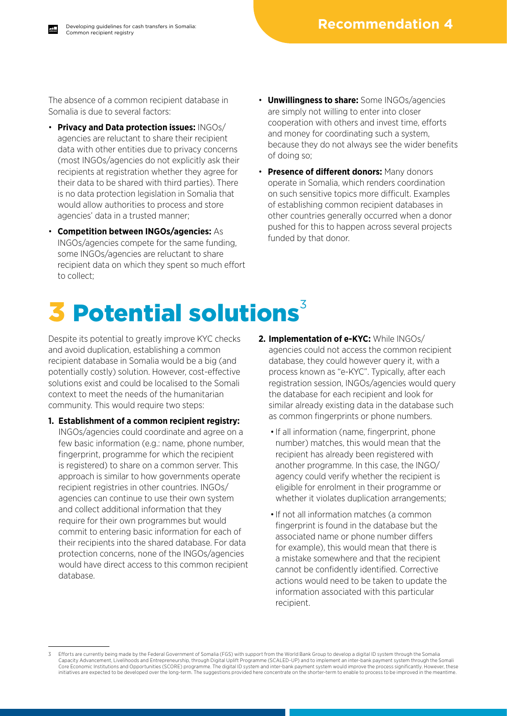The absence of a common recipient database in Somalia is due to several factors:

- **Privacy and Data protection issues:** INGOs/ agencies are reluctant to share their recipient data with other entities due to privacy concerns (most INGOs/agencies do not explicitly ask their recipients at registration whether they agree for their data to be shared with third parties). There is no data protection legislation in Somalia that would allow authorities to process and store agencies' data in a trusted manner;
- **Competition between INGOs/agencies:** As INGOs/agencies compete for the same funding, some INGOs/agencies are reluctant to share recipient data on which they spent so much effort to collect;
- **Unwillingness to share:** Some INGOs/agencies are simply not willing to enter into closer cooperation with others and invest time, efforts and money for coordinating such a system, because they do not always see the wider benefits of doing so;
- **Presence of different donors:** Many donors operate in Somalia, which renders coordination on such sensitive topics more difficult. Examples of establishing common recipient databases in other countries generally occurred when a donor pushed for this to happen across several projects funded by that donor.

# 3 Potential solutions<sup>3</sup>

Despite its potential to greatly improve KYC checks and avoid duplication, establishing a common recipient database in Somalia would be a big (and potentially costly) solution. However, cost-effective solutions exist and could be localised to the Somali context to meet the needs of the humanitarian community. This would require two steps:

- **1. Establishment of a common recipient registry:** INGOs/agencies could coordinate and agree on a few basic information (e.g.: name, phone number, fingerprint, programme for which the recipient is registered) to share on a common server. This approach is similar to how governments operate recipient registries in other countries. INGOs/ agencies can continue to use their own system and collect additional information that they require for their own programmes but would commit to entering basic information for each of their recipients into the shared database. For data protection concerns, none of the INGOs/agencies would have direct access to this common recipient database.
- **2. Implementation of e-KYC:** While INGOs/ agencies could not access the common recipient database, they could however query it, with a process known as "e-KYC". Typically, after each registration session, INGOs/agencies would query the database for each recipient and look for similar already existing data in the database such as common fingerprints or phone numbers.
	- If all information (name, fingerprint, phone number) matches, this would mean that the recipient has already been registered with another programme. In this case, the INGO/ agency could verify whether the recipient is eligible for enrolment in their programme or whether it violates duplication arrangements;
	- If not all information matches (a common fingerprint is found in the database but the associated name or phone number differs for example), this would mean that there is a mistake somewhere and that the recipient cannot be confidently identified. Corrective actions would need to be taken to update the information associated with this particular recipient.

Efforts are currently being made by the Federal Government of Somalia (FGS) with support from the World Bank Group to develop a digital ID system through the Somalia Capacity Advancement, Livelihoods and Entrepreneurship, through Digital Uplift Programme (SCALED-UP) and to implement an inter-bank payment system through the Somali<br>Core Economic Institutions and Opportunities (SCORE) pro initiatives are expected to be developed over the long-term. The suggestions provided here concentrate on the shorter-term to enable to process to be improved in the meantime.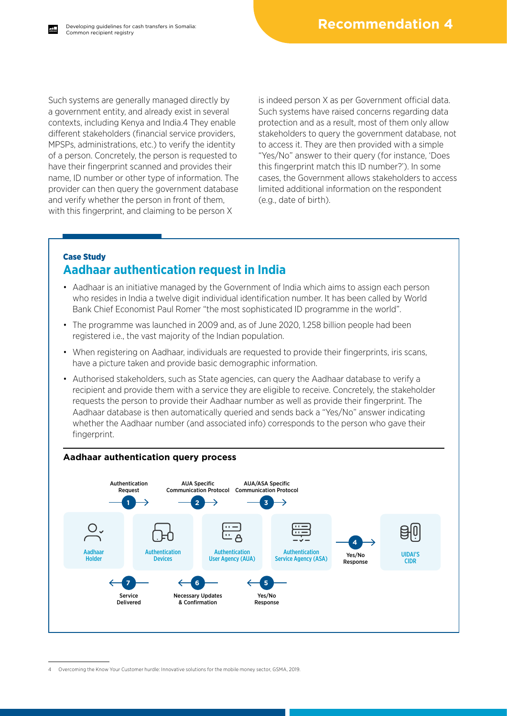Such systems are generally managed directly by a government entity, and already exist in several contexts, including Kenya and India.4 They enable different stakeholders (financial service providers, MPSPs, administrations, etc.) to verify the identity of a person. Concretely, the person is requested to have their fingerprint scanned and provides their name, ID number or other type of information. The provider can then query the government database and verify whether the person in front of them, with this fingerprint, and claiming to be person X

is indeed person X as per Government official data. Such systems have raised concerns regarding data protection and as a result, most of them only allow stakeholders to query the government database, not to access it. They are then provided with a simple "Yes/No" answer to their query (for instance, 'Does this fingerprint match this ID number?'). In some cases, the Government allows stakeholders to access limited additional information on the respondent (e.g., date of birth).

### Case Study **Aadhaar authentication request in India**

- Aadhaar is an initiative managed by the Government of India which aims to assign each person who resides in India a twelve digit individual identification number. It has been called by World Bank Chief Economist Paul Romer "the most sophisticated ID programme in the world".
- The programme was launched in 2009 and, as of June 2020, 1.258 billion people had been registered i.e., the vast majority of the Indian population.
- When registering on Aadhaar, individuals are requested to provide their fingerprints, iris scans, have a picture taken and provide basic demographic information.
- Authorised stakeholders, such as State agencies, can query the Aadhaar database to verify a recipient and provide them with a service they are eligible to receive. Concretely, the stakeholder requests the person to provide their Aadhaar number as well as provide their fingerprint. The Aadhaar database is then automatically queried and sends back a "Yes/No" answer indicating whether the Aadhaar number (and associated info) corresponds to the person who gave their fingerprint.



<sup>4</sup> Overcoming the Know Your Customer hurdle: Innovative solutions for the mobile money sector, GSMA, 2019.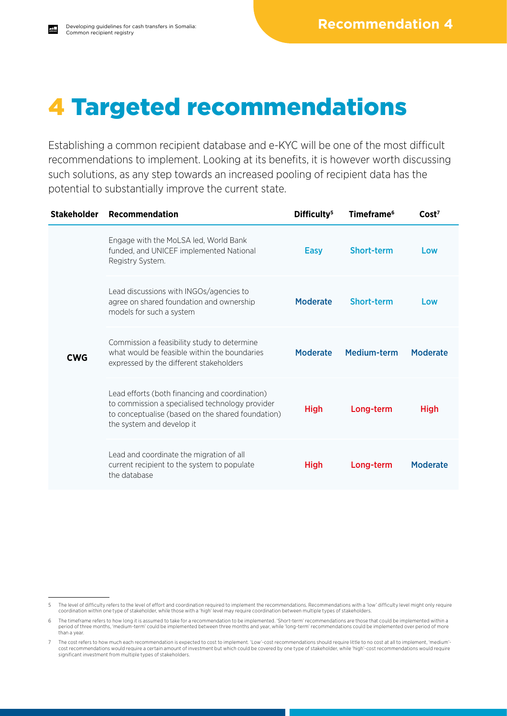## 4 Targeted recommendations

Establishing a common recipient database and e-KYC will be one of the most difficult recommendations to implement. Looking at its benefits, it is however worth discussing such solutions, as any step towards an increased pooling of recipient data has the potential to substantially improve the current state.

| <b>Stakeholder</b> | Recommendation                                                                                                                                                                      | Difficulty <sup>5</sup> | Timeframe <sup>6</sup> | Cost <sup>7</sup> |
|--------------------|-------------------------------------------------------------------------------------------------------------------------------------------------------------------------------------|-------------------------|------------------------|-------------------|
| <b>CWG</b>         | Engage with the MoLSA led, World Bank<br>funded, and UNICEF implemented National<br>Registry System.                                                                                | <b>Easy</b>             | <b>Short-term</b>      | Low               |
|                    | Lead discussions with INGOs/agencies to<br>agree on shared foundation and ownership<br>models for such a system                                                                     | <b>Moderate</b>         | Short-term             | Low               |
|                    | Commission a feasibility study to determine<br>what would be feasible within the boundaries<br>expressed by the different stakeholders                                              | <b>Moderate</b>         | Medium-term            | <b>Moderate</b>   |
|                    | Lead efforts (both financing and coordination)<br>to commission a specialised technology provider<br>to conceptualise (based on the shared foundation)<br>the system and develop it | <b>High</b>             | Long-term              | <b>High</b>       |
|                    | Lead and coordinate the migration of all<br>current recipient to the system to populate<br>the database                                                                             | <b>High</b>             | Long-term              | <b>Moderate</b>   |

<sup>5</sup> The level of difficulty refers to the level of effort and coordination required to implement the recommendations. Recommendations with a 'low' difficulty level might only require coordination within one type of stakeholder, while those with a 'high' level may require coordination between multiple types of stakeholders.

<sup>6</sup> The timeframe refers to how long it is assumed to take for a recommendation to be implemented. 'Short-term' recommendations are those that could be implemented within a period of three months, 'medium-term' could be implemented between three months and year, while 'long-term' recommendations could be implemented over period of more than a year.

<sup>7</sup> The cost refers to how much each recommendation is expected to cost to implement. 'Low'-cost recommendations should require little to no cost at all to implement, 'medium' cost recommendations would require a certain amount of investment but which could be covered by one type of stakeholder, while 'high'-cost recommendations would require significant investment from multiple types of stakeholders.